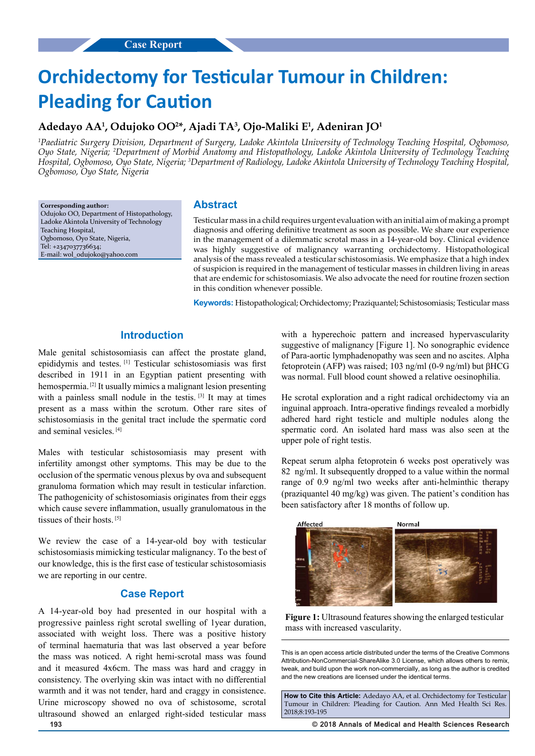# **Orchidectomy for Testicular Tumour in Children: Pleading for Caution**

## **Adedayo AA1 , Odujoko OO2 \*, Ajadi TA3 , Ojo-Maliki E1 , Adeniran JO1**

*1 Paediatric Surgery Division, Department of Surgery, Ladoke Akintola University of Technology Teaching Hospital, Ogbomoso, Oyo State, Nigeria; 2 Department of Morbid Anatomy and Histopathology, Ladoke Akintola University of Technology Teaching Hospital, Ogbomoso, Oyo State, Nigeria; 3 Department of Radiology, Ladoke Akintola University of Technology Teaching Hospital, Ogbomoso, Oyo State, Nigeria*

**Corresponding author:** Odujoko OO, Department of Histopathology, Ladoke Akintola University of Technology Teaching Hospital, Ogbomoso, Oyo State, Nigeria, Tel: +2347037736634; E-mail: wol\_odujoko@yahoo.com

## **Abstract**

Testicular mass in a child requires urgent evaluation with an initial aim of making a prompt diagnosis and offering definitive treatment as soon as possible. We share our experience in the management of a dilemmatic scrotal mass in a 14-year-old boy. Clinical evidence was highly suggestive of malignancy warranting orchidectomy. Histopathological analysis of the mass revealed a testicular schistosomiasis. We emphasize that a high index of suspicion is required in the management of testicular masses in children living in areas that are endemic for schistosomiasis. We also advocate the need for routine frozen section in this condition whenever possible.

**Keywords:** Histopathological; Orchidectomy; Praziquantel; Schistosomiasis; Testicular mass

## **Introduction**

Male genital schistosomiasis can affect the prostate gland, epididymis and testes. [1] Testicular schistosomiasis was first described in 1911 in an Egyptian patient presenting with hemospermia. [2] It usually mimics a malignant lesion presenting with a painless small nodule in the testis.<sup>[3]</sup> It may at times present as a mass within the scrotum. Other rare sites of schistosomiasis in the genital tract include the spermatic cord and seminal vesicles. [4]

Males with testicular schistosomiasis may present with infertility amongst other symptoms. This may be due to the occlusion of the spermatic venous plexus by ova and subsequent granuloma formation which may result in testicular infarction. The pathogenicity of schistosomiasis originates from their eggs which cause severe inflammation, usually granulomatous in the tissues of their hosts. [5]

We review the case of a 14-year-old boy with testicular schistosomiasis mimicking testicular malignancy. To the best of our knowledge, this is the first case of testicular schistosomiasis we are reporting in our centre.

## **Case Report**

A 14-year-old boy had presented in our hospital with a progressive painless right scrotal swelling of 1year duration, associated with weight loss. There was a positive history of terminal haematuria that was last observed a year before the mass was noticed. A right hemi-scrotal mass was found and it measured 4x6cm. The mass was hard and craggy in consistency. The overlying skin was intact with no differential warmth and it was not tender, hard and craggy in consistence. Urine microscopy showed no ova of schistosome, scrotal ultrasound showed an enlarged right-sided testicular mass

with a hyperechoic pattern and increased hypervascularity suggestive of malignancy [Figure 1]. No sonographic evidence of Para-aortic lymphadenopathy was seen and no ascites. Alpha fetoprotein (AFP) was raised; 103 ng/ml (0-9 ng/ml) but βHCG was normal. Full blood count showed a relative oesinophilia.

He scrotal exploration and a right radical orchidectomy via an inguinal approach. Intra-operative findings revealed a morbidly adhered hard right testicle and multiple nodules along the spermatic cord. An isolated hard mass was also seen at the upper pole of right testis.

Repeat serum alpha fetoprotein 6 weeks post operatively was 82 ng/ml. It subsequently dropped to a value within the normal range of 0.9 ng/ml two weeks after anti-helminthic therapy (praziquantel 40 mg/kg) was given. The patient's condition has been satisfactory after 18 months of follow up.





This is an open access article distributed under the terms of the Creative Commons Attribution-NonCommercial-ShareAlike 3.0 License, which allows others to remix, tweak, and build upon the work non‑commercially, as long as the author is credited and the new creations are licensed under the identical terms.

**How to Cite this Article:** Adedayo AA, et al. Orchidectomy for Testicular Tumour in Children: Pleading for Caution. Ann Med Health Sci Res. 2018;8:193-195

**193 © 2018 Annals of Medical and Health Sciences Research**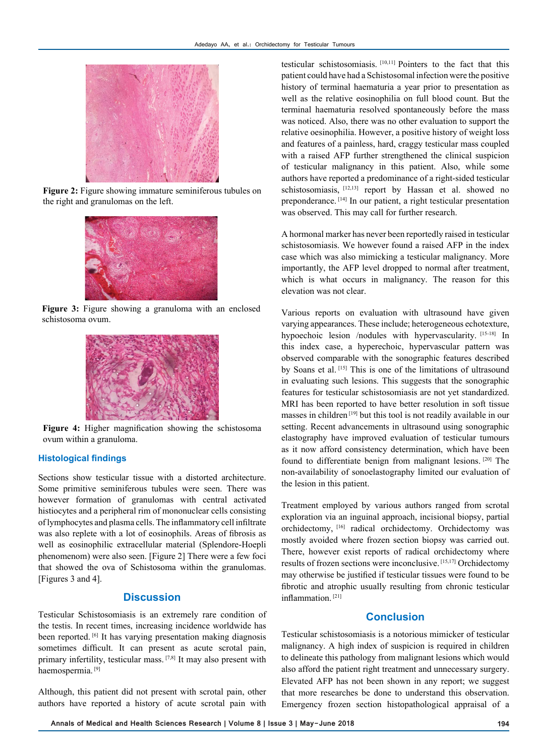

**Figure 2:** Figure showing immature seminiferous tubules on the right and granulomas on the left.



**Figure 3:** Figure showing a granuloma with an enclosed schistosoma ovum.



**Figure 4:** Higher magnification showing the schistosoma ovum within a granuloma.

#### **Histological findings**

Sections show testicular tissue with a distorted architecture. Some primitive seminiferous tubules were seen. There was however formation of granulomas with central activated histiocytes and a peripheral rim of mononuclear cells consisting of lymphocytes and plasma cells. The inflammatory cell infiltrate was also replete with a lot of eosinophils. Areas of fibrosis as well as eosinophilic extracellular material (Splendore-Hoepli phenomenom) were also seen. [Figure 2] There were a few foci that showed the ova of Schistosoma within the granulomas. [Figures 3 and 4].

## **Discussion**

Testicular Schistosomiasis is an extremely rare condition of the testis. In recent times, increasing incidence worldwide has been reported. [6] It has varying presentation making diagnosis sometimes difficult. It can present as acute scrotal pain, primary infertility, testicular mass. [7,8] It may also present with haemospermia. [9]

Although, this patient did not present with scrotal pain, other authors have reported a history of acute scrotal pain with testicular schistosomiasis. [10,11] Pointers to the fact that this patient could have had a Schistosomal infection were the positive history of terminal haematuria a year prior to presentation as well as the relative eosinophilia on full blood count. But the terminal haematuria resolved spontaneously before the mass was noticed. Also, there was no other evaluation to support the relative oesinophilia. However, a positive history of weight loss and features of a painless, hard, craggy testicular mass coupled with a raised AFP further strengthened the clinical suspicion of testicular malignancy in this patient. Also, while some authors have reported a predominance of a right-sided testicular schistosomiasis, <a>[12,13]</a> report by Hassan et al. showed no preponderance. [14] In our patient, a right testicular presentation was observed. This may call for further research.

A hormonal marker has never been reportedly raised in testicular schistosomiasis. We however found a raised AFP in the index case which was also mimicking a testicular malignancy. More importantly, the AFP level dropped to normal after treatment, which is what occurs in malignancy. The reason for this elevation was not clear.

Various reports on evaluation with ultrasound have given varying appearances. These include; heterogeneous echotexture, hypoechoic lesion /nodules with hypervascularity. [15-18] In this index case, a hyperechoic, hypervascular pattern was observed comparable with the sonographic features described by Soans et al. [15] This is one of the limitations of ultrasound in evaluating such lesions. This suggests that the sonographic features for testicular schistosomiasis are not yet standardized. MRI has been reported to have better resolution in soft tissue masses in children [19] but this tool is not readily available in our setting. Recent advancements in ultrasound using sonographic elastography have improved evaluation of testicular tumours as it now afford consistency determination, which have been found to differentiate benign from malignant lesions. [20] The non-availability of sonoelastography limited our evaluation of the lesion in this patient.

Treatment employed by various authors ranged from scrotal exploration via an inguinal approach, incisional biopsy, partial orchidectomy, [16] radical orchidectomy. Orchidectomy was mostly avoided where frozen section biopsy was carried out. There, however exist reports of radical orchidectomy where results of frozen sections were inconclusive. [15,17] Orchidectomy may otherwise be justified if testicular tissues were found to be fibrotic and atrophic usually resulting from chronic testicular inflammation. [21]

## **Conclusion**

Testicular schistosomiasis is a notorious mimicker of testicular malignancy. A high index of suspicion is required in children to delineate this pathology from malignant lesions which would also afford the patient right treatment and unnecessary surgery. Elevated AFP has not been shown in any report; we suggest that more researches be done to understand this observation. Emergency frozen section histopathological appraisal of a